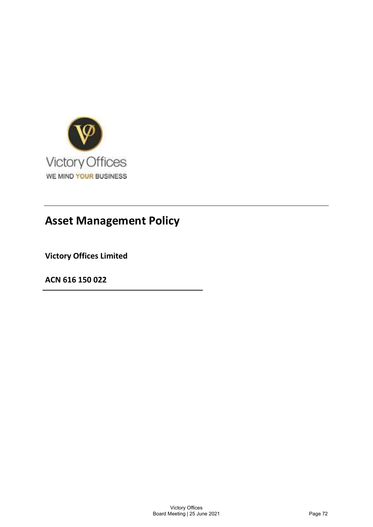

Victory Offices Limited

ACN 616 150 022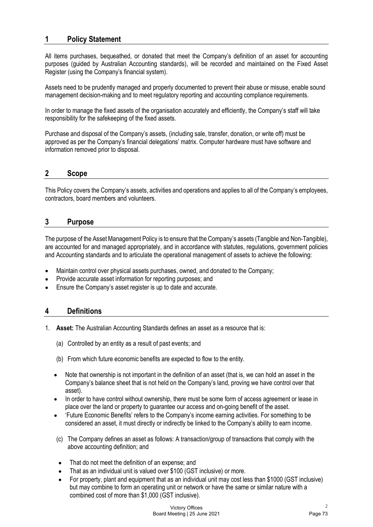# 1 Policy Statement

All items purchases, bequeathed, or donated that meet the Company's definition of an asset for accounting purposes (guided by Australian Accounting standards), will be recorded and maintained on the Fixed Asset Register (using the Company's financial system).

Assets need to be prudently managed and properly documented to prevent their abuse or misuse, enable sound management decision-making and to meet regulatory reporting and accounting compliance requirements.

In order to manage the fixed assets of the organisation accurately and efficiently, the Company's staff will take responsibility for the safekeeping of the fixed assets.

Purchase and disposal of the Company's assets, (including sale, transfer, donation, or write off) must be approved as per the Company's financial delegations' matrix. Computer hardware must have software and information removed prior to disposal.

# 2 Scope

This Policy covers the Company's assets, activities and operations and applies to all of the Company's employees, contractors, board members and volunteers.

## 3 Purpose

The purpose of the Asset Management Policy is to ensure that the Company's assets (Tangible and Non-Tangible), are accounted for and managed appropriately, and in accordance with statutes, regulations, government policies and Accounting standards and to articulate the operational management of assets to achieve the following:

- Maintain control over physical assets purchases, owned, and donated to the Company;
- Provide accurate asset information for reporting purposes; and
- Ensure the Company's asset register is up to date and accurate.

# 4 Definitions

- 1. Asset: The Australian Accounting Standards defines an asset as a resource that is:
	- (a) Controlled by an entity as a result of past events; and
	- (b) From which future economic benefits are expected to flow to the entity.
	- Note that ownership is not important in the definition of an asset (that is, we can hold an asset in the Company's balance sheet that is not held on the Company's land, proving we have control over that asset).
	- In order to have control without ownership, there must be some form of access agreement or lease in place over the land or property to guarantee our access and on-going benefit of the asset.
	- 'Future Economic Benefits' refers to the Company's income earning activities. For something to be  $\bullet$ considered an asset, it must directly or indirectly be linked to the Company's ability to earn income.
	- (c) The Company defines an asset as follows: A transaction/group of transactions that comply with the above accounting definition; and
	- That do not meet the definition of an expense; and  $\bullet$
	- That as an individual unit is valued over \$100 (GST inclusive) or more.
	- For property, plant and equipment that as an individual unit may cost less than \$1000 (GST inclusive) but may combine to form an operating unit or network or have the same or similar nature with a combined cost of more than \$1,000 (GST inclusive).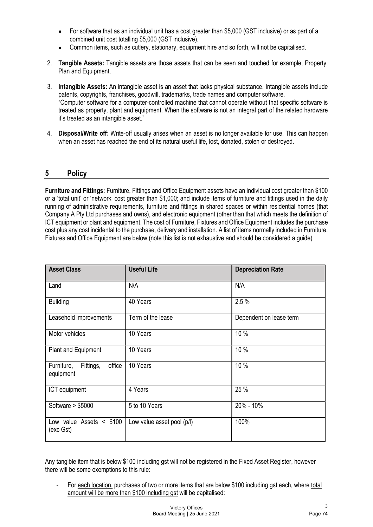- For software that as an individual unit has a cost greater than \$5,000 (GST inclusive) or as part of a combined unit cost totalling \$5,000 (GST inclusive).
- Common items, such as cutlery, stationary, equipment hire and so forth, will not be capitalised.
- 2. Tangible Assets: Tangible assets are those assets that can be seen and touched for example, Property, Plan and Equipment.
- 3. Intangible Assets: An intangible asset is an asset that lacks physical substance. Intangible assets include patents, copyrights, franchises, goodwill, trademarks, trade names and computer software. "Computer software for a computer-controlled machine that cannot operate without that specific software is treated as property, plant and equipment. When the software is not an integral part of the related hardware it's treated as an intangible asset." • For software that as an individual unit has a cost greater than \$5,000 (GST inclus<br>
combined unit cost totalling \$5,000 (GST inclusive).<br>
• Common items, such as cutlery, stationary, equipment hire and so forth, will no
- 4. Disposal/Write off: Write-off usually arises when an asset is no longer available for use. This can happen when an asset has reached the end of its natural useful life, lost, donated, stolen or destroyed.

|                                                |                            | Furniture and Fittings: Furniture, Fittings and Office Equipment assets have an individual cost greater than \$100<br>or a 'total unit' or 'network' cost greater than \$1,000; and include items of furniture and fittings used in the daily<br>running of administrative requirements, furniture and fittings in shared spaces or within residential homes (that<br>Company A Pty Ltd purchases and owns), and electronic equipment (other than that which meets the definition of<br>ICT equipment or plant and equipment. The cost of Furniture, Fixtures and Office Equipment includes the purchase<br>cost plus any cost incidental to the purchase, delivery and installation. A list of items normally included in Furniture,<br>Fixtures and Office Equipment are below (note this list is not exhaustive and should be considered a guide) |
|------------------------------------------------|----------------------------|------------------------------------------------------------------------------------------------------------------------------------------------------------------------------------------------------------------------------------------------------------------------------------------------------------------------------------------------------------------------------------------------------------------------------------------------------------------------------------------------------------------------------------------------------------------------------------------------------------------------------------------------------------------------------------------------------------------------------------------------------------------------------------------------------------------------------------------------------|
| <b>Asset Class</b>                             | <b>Useful Life</b>         | <b>Depreciation Rate</b>                                                                                                                                                                                                                                                                                                                                                                                                                                                                                                                                                                                                                                                                                                                                                                                                                             |
| Land                                           | N/A                        | N/A                                                                                                                                                                                                                                                                                                                                                                                                                                                                                                                                                                                                                                                                                                                                                                                                                                                  |
| <b>Building</b>                                | 40 Years                   | 2.5%                                                                                                                                                                                                                                                                                                                                                                                                                                                                                                                                                                                                                                                                                                                                                                                                                                                 |
| Leasehold improvements                         | Term of the lease          | Dependent on lease term                                                                                                                                                                                                                                                                                                                                                                                                                                                                                                                                                                                                                                                                                                                                                                                                                              |
| Motor vehicles                                 | 10 Years                   | 10 %                                                                                                                                                                                                                                                                                                                                                                                                                                                                                                                                                                                                                                                                                                                                                                                                                                                 |
| Plant and Equipment                            | 10 Years                   | 10 %                                                                                                                                                                                                                                                                                                                                                                                                                                                                                                                                                                                                                                                                                                                                                                                                                                                 |
| Fittings,<br>office<br>Furniture,<br>equipment | 10 Years                   | 10 %                                                                                                                                                                                                                                                                                                                                                                                                                                                                                                                                                                                                                                                                                                                                                                                                                                                 |
| ICT equipment                                  | 4 Years                    | 25 %                                                                                                                                                                                                                                                                                                                                                                                                                                                                                                                                                                                                                                                                                                                                                                                                                                                 |
| Software > \$5000                              | 5 to 10 Years              | 20% - 10%                                                                                                                                                                                                                                                                                                                                                                                                                                                                                                                                                                                                                                                                                                                                                                                                                                            |
| Low value Assets $<$ \$100<br>(exc Gst)        | Low value asset pool (p/l) | 100%                                                                                                                                                                                                                                                                                                                                                                                                                                                                                                                                                                                                                                                                                                                                                                                                                                                 |

Any tangible item that is below \$100 including gst will not be registered in the Fixed Asset Register, however there will be some exemptions to this rule:

- For each location, purchases of two or more items that are below \$100 including gst each, where total amount will be more than \$100 including gst will be capitalised: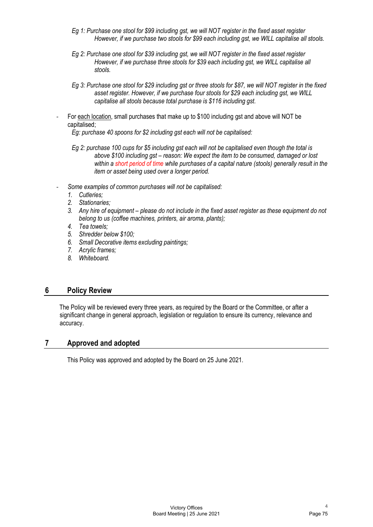- Eg 1: Purchase one stool for \$99 including gst, we will NOT register in the fixed asset register However, if we purchase two stools for \$99 each including gst, we WILL capitalise all stools.
- Eg 2: Purchase one stool for \$39 including gst, we will NOT register in the fixed asset register However, if we purchase three stools for \$39 each including gst, we WILL capitalise all stools.
- Eg 3: Purchase one stool for \$29 including gst or three stools for \$87, we will NOT register in the fixed asset register. However, if we purchase four stools for \$29 each including gst, we WILL capitalise all stools because total purchase is \$116 including gst.
- For each location, small purchases that make up to \$100 including gst and above will NOT be capitalised;

Eg: purchase 40 spoons for \$2 including gst each will not be capitalised:

- Eg 1: Purchase one stool for \$99 including gst, we will NOT register in the fixed asset register<br>
However, if we purchase two stools for \$99 each including gst, we WILL capitalise all stools.<br>
Eg 2: Purchase one stool for above \$100 including gst – reason: We expect the item to be consumed, damaged or lost within a short period of time while purchases of a capital nature (stools) generally result in the item or asset being used over a longer period.
- Some examples of common purchases will not be capitalised:
	- 1. Cutleries;
	- 2. Stationaries;
	- 3. Any hire of equipment please do not include in the fixed asset register as these equipment do not belong to us (coffee machines, printers, air aroma, plants);
	- 4. Tea towels;
	- 5. Shredder below \$100;
	- 6. Small Decorative items excluding paintings;
	- 7. Acrylic frames;
	- 8. Whiteboard.

# 6 Policy Review

The Policy will be reviewed every three years, as required by the Board or the Committee, or after a significant change in general approach, legislation or regulation to ensure its currency, relevance and accuracy.

# 7 Approved and adopted

This Policy was approved and adopted by the Board on 25 June 2021.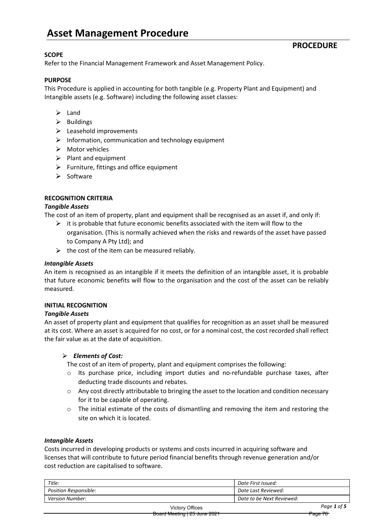# Asset Management Procedure

## **SCOPE**

Refer to the Financial Management Framework and Asset Management Policy.

### PURPOSE

This Procedure is applied in accounting for both tangible (e.g. Property Plant and Equipment) and Intangible assets (e.g. Software) including the following asset classes:

- $\triangleright$  Land
- $\triangleright$  Buildings
- $\blacktriangleright$  Leasehold improvements
- $\triangleright$  Information, communication and technology equipment
- $\triangleright$  Motor vehicles
- $\triangleright$  Plant and equipment
- $\triangleright$  Furniture, fittings and office equipment
- $\triangleright$  Software

### RECOGNITION CRITERIA

#### Tangible Assets

The cost of an item of property, plant and equipment shall be recognised as an asset if, and only if:

- $\triangleright$  it is probable that future economic benefits associated with the item will flow to the organisation. (This is normally achieved when the risks and rewards of the asset have passed to Company A Pty Ltd); and
- $\triangleright$  the cost of the item can be measured reliably.

#### Intangible Assets

An item is recognised as an intangible if it meets the definition of an intangible asset, it is probable that future economic benefits will flow to the organisation and the cost of the asset can be reliably measured.

#### INITIAL RECOGNITION

#### Tangible Assets

An asset of property plant and equipment that qualifies for recognition as an asset shall be measured at its cost. Where an asset is acquired for no cost, or for a nominal cost, the cost recorded shall reflect the fair value as at the date of acquisition.

#### $\triangleright$  Elements of Cost:

The cost of an item of property, plant and equipment comprises the following:

- o Its purchase price, including import duties and no-refundable purchase taxes, after deducting trade discounts and rebates.
- o Any cost directly attributable to bringing the asset to the location and condition necessary for it to be capable of operating.
- $\circ$  The initial estimate of the costs of dismantling and removing the item and restoring the site on which it is located.

#### Intangible Assets

Costs incurred in developing products or systems and costs incurred in acquiring software and licenses that will contribute to future period financial benefits through revenue generation and/or cost reduction are capitalised to software.

| Title:                       | Date First Issued:        |
|------------------------------|---------------------------|
| <b>Position Responsible:</b> | Date Last Reviewed:       |
| Version Number:              | Date to be Next Reviewed: |
| <b>Victory Offices</b>       | Page 1 of 5               |

**PROCEDURE**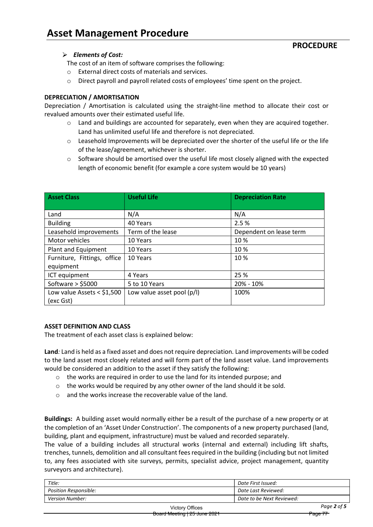# $\triangleright$  Elements of Cost:

The cost of an item of software comprises the following:

- o External direct costs of materials and services.
- $\circ$  Direct payroll and payroll related costs of employees' time spent on the project.

### DEPRECIATION / AMORTISATION

Depreciation / Amortisation is calculated using the straight-line method to allocate their cost or revalued amounts over their estimated useful life.

- $\circ$  Land and buildings are accounted for separately, even when they are acquired together. Land has unlimited useful life and therefore is not depreciated.
- $\circ$  Leasehold Improvements will be depreciated over the shorter of the useful life or the life of the lease/agreement, whichever is shorter.
- $\circ$  Software should be amortised over the useful life most closely aligned with the expected length of economic benefit (for example a core system would be 10 years)

| <b>Asset Class</b>          | <b>Useful Life</b>         | <b>Depreciation Rate</b> |
|-----------------------------|----------------------------|--------------------------|
|                             |                            |                          |
| Land                        | N/A                        | N/A                      |
| <b>Building</b>             | 40 Years                   | 2.5 %                    |
| Leasehold improvements      | Term of the lease          | Dependent on lease term  |
| Motor vehicles              | 10 Years                   | 10 %                     |
| Plant and Equipment         | 10 Years                   | 10 %                     |
| Furniture, Fittings, office | 10 Years                   | 10 %                     |
| equipment                   |                            |                          |
| ICT equipment               | 4 Years                    | 25 %                     |
| Software $>$ \$5000         | 5 to 10 Years              | 20% - 10%                |
| Low value Assets < $$1,500$ | Low value asset pool (p/l) | 100%                     |
| (exc Gst)                   |                            |                          |

#### ASSET DEFINITION AND CLASS

The treatment of each asset class is explained below:

Land: Land is held as a fixed asset and does not require depreciation. Land improvements will be coded to the land asset most closely related and will form part of the land asset value. Land improvements would be considered an addition to the asset if they satisfy the following:

- o the works are required in order to use the land for its intended purpose; and
- $\circ$  the works would be required by any other owner of the land should it be sold.
- $\circ$  and the works increase the recoverable value of the land.

Buildings: A building asset would normally either be a result of the purchase of a new property or at the completion of an 'Asset Under Construction'. The components of a new property purchased (land, building, plant and equipment, infrastructure) must be valued and recorded separately.

The value of a building includes all structural works (internal and external) including lift shafts, trenches, tunnels, demolition and all consultant fees required in the building (including but not limited to, any fees associated with site surveys, permits, specialist advice, project management, quantity surveyors and architecture).

| Title:                       |                 | Date First Issued:        |  |
|------------------------------|-----------------|---------------------------|--|
| <b>Position Responsible:</b> |                 | Date Last Reviewed:       |  |
| Version Number:              |                 | Date to be Next Reviewed: |  |
|                              | Victory Offices | Page 2 of 5               |  |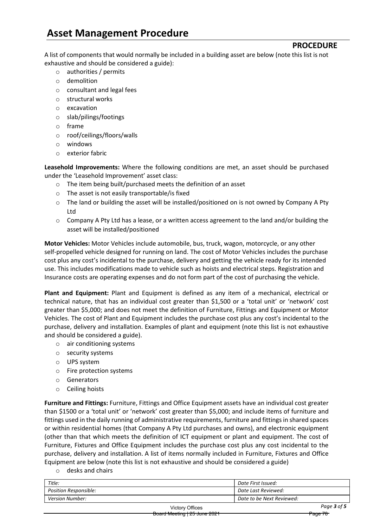# Asset Management Procedure

PROCEDURE

A list of components that would normally be included in a building asset are below (note this list is not exhaustive and should be considered a guide):

- o authorities / permits
- o demolition
- o consultant and legal fees
- o structural works
- o excavation
- o slab/pilings/footings
- o frame
- o roof/ceilings/floors/walls
- o windows
- o exterior fabric

Leasehold Improvements: Where the following conditions are met, an asset should be purchased under the 'Leasehold Improvement' asset class:

- o The item being built/purchased meets the definition of an asset
- o The asset is not easily transportable/is fixed
- o The land or building the asset will be installed/positioned on is not owned by Company A Pty Ltd
- $\circ$  Company A Pty Ltd has a lease, or a written access agreement to the land and/or building the asset will be installed/positioned

Motor Vehicles: Motor Vehicles include automobile, bus, truck, wagon, motorcycle, or any other self-propelled vehicle designed for running on land. The cost of Motor Vehicles includes the purchase cost plus any cost's incidental to the purchase, delivery and getting the vehicle ready for its intended use. This includes modifications made to vehicle such as hoists and electrical steps. Registration and Insurance costs are operating expenses and do not form part of the cost of purchasing the vehicle.

Plant and Equipment: Plant and Equipment is defined as any item of a mechanical, electrical or technical nature, that has an individual cost greater than \$1,500 or a 'total unit' or 'network' cost greater than \$5,000; and does not meet the definition of Furniture, Fittings and Equipment or Motor Vehicles. The cost of Plant and Equipment includes the purchase cost plus any cost's incidental to the purchase, delivery and installation. Examples of plant and equipment (note this list is not exhaustive and should be considered a guide).

- o air conditioning systems
- o security systems
- o UPS system
- o Fire protection systems
- o Generators
- o Ceiling hoists

Furniture and Fittings: Furniture, Fittings and Office Equipment assets have an individual cost greater than \$1500 or a 'total unit' or 'network' cost greater than \$5,000; and include items of furniture and fittings used in the daily running of administrative requirements, furniture and fittings in shared spaces or within residential homes (that Company A Pty Ltd purchases and owns), and electronic equipment (other than that which meets the definition of ICT equipment or plant and equipment. The cost of Furniture, Fixtures and Office Equipment includes the purchase cost plus any cost incidental to the purchase, delivery and installation. A list of items normally included in Furniture, Fixtures and Office Equipment are below (note this list is not exhaustive and should be considered a guide)

o desks and chairs

| Title:                |                 | Date First Issued:        |  |
|-----------------------|-----------------|---------------------------|--|
| Position Responsible: |                 | Date Last Reviewed:       |  |
| Version Number:       |                 | Date to be Next Reviewed: |  |
|                       | Victory Offices | Page 3 of 5               |  |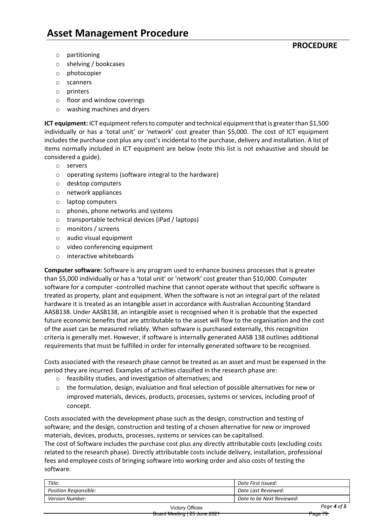# **PROCEDURE**

- o partitioning
- o shelving / bookcases
- o photocopier
- o scanners
- o printers
- o floor and window coverings
- o washing machines and dryers

ICT equipment: ICT equipment refers to computer and technical equipment that is greater than \$1,500 individually or has a 'total unit' or 'network' cost greater than \$5,000. The cost of ICT equipment includes the purchase cost plus any cost's incidental to the purchase, delivery and installation. A list of items normally included in ICT equipment are below (note this list is not exhaustive and should be considered a guide).

- o servers
- o operating systems (software integral to the hardware)
- o desktop computers
- o network appliances
- o laptop computers
- o phones, phone networks and systems
- o transportable technical devices (iPad / laptops)
- o monitors / screens
- o audio visual equipment
- o video conferencing equipment
- o interactive whiteboards

Computer software: Software is any program used to enhance business processes that is greater than \$5,000 individually or has a 'total unit' or 'network' cost greater than \$10,000. Computer software for a computer -controlled machine that cannot operate without that specific software is treated as property, plant and equipment. When the software is not an integral part of the related hardware it is treated as an intangible asset in accordance with Australian Accounting Standard AASB138. Under AASB138, an intangible asset is recognised when it is probable that the expected future economic benefits that are attributable to the asset will flow to the organisation and the cost of the asset can be measured reliably. When software is purchased externally, this recognition criteria is generally met. However, if software is internally generated AASB 138 outlines additional requirements that must be fulfilled in order for internally generated software to be recognised.

Costs associated with the research phase cannot be treated as an asset and must be expensed in the period they are incurred. Examples of activities classified in the research phase are:

- o feasibility studies, and investigation of alternatives; and
- $\circ$  the formulation, design, evaluation and final selection of possible alternatives for new or improved materials, devices, products, processes, systems or services, including proof of concept.

Costs associated with the development phase such as the design, construction and testing of software; and the design, construction and testing of a chosen alternative for new or improved materials, devices, products, processes, systems or services can be capitalised.

The cost of Software includes the purchase cost plus any directly attributable costs (excluding costs related to the research phase). Directly attributable costs include delivery, installation, professional fees and employee costs of bringing software into working order and also costs of testing the software.

| Title:                       | Date First Issued:        |  |
|------------------------------|---------------------------|--|
| <b>Position Responsible:</b> | Date Last Reviewed:       |  |
| <b>Version Number:</b>       | Date to be Next Reviewed: |  |
| <b>Victory Offices</b>       | Page 4 of 5               |  |